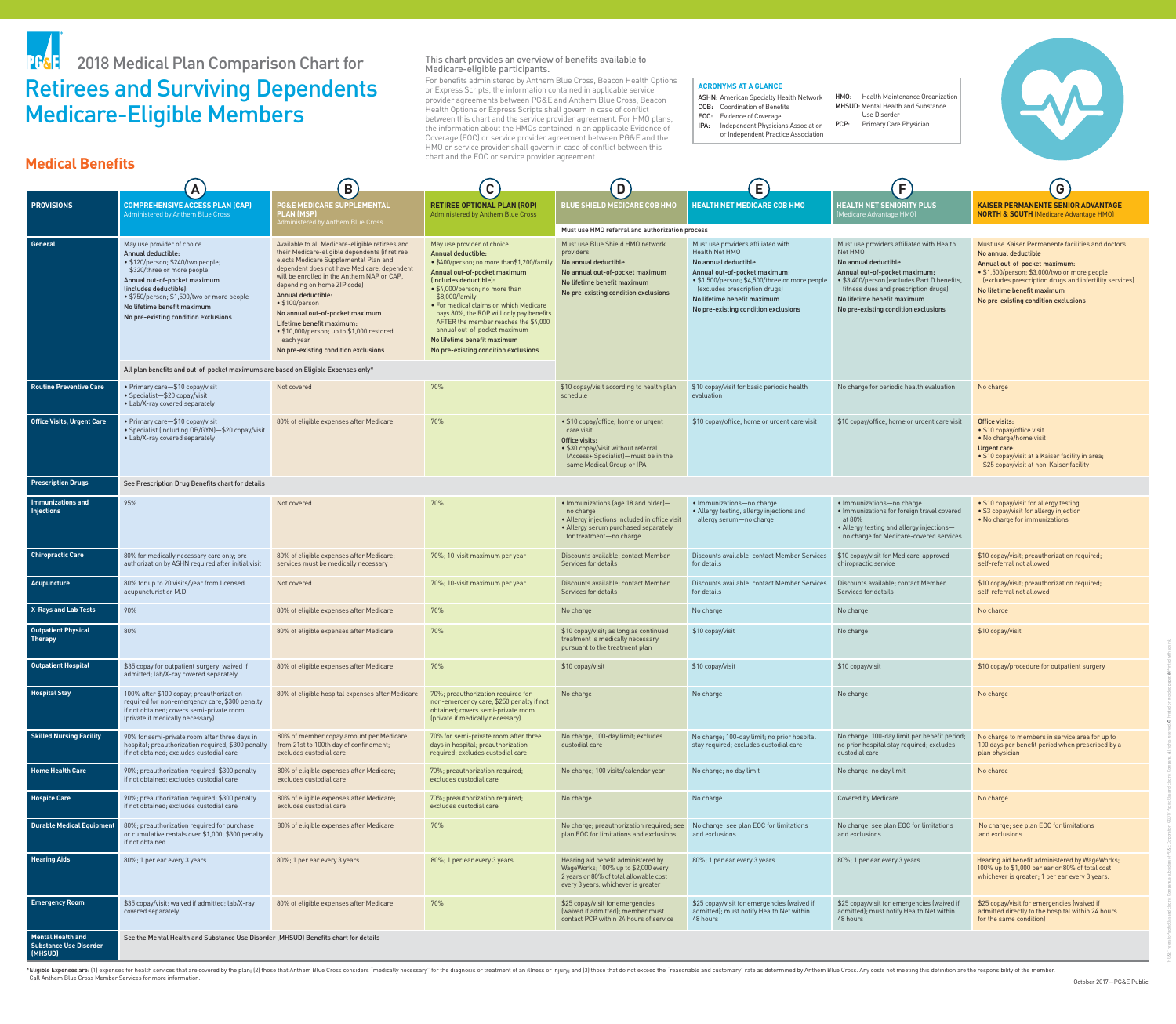"PG&E" refers to Pacific Gas and Electric Company, a subsidiary of PG&E Corporation. ©2017 Pacific Gas and Electric Company. All rights reserved. Printed on recycled paper. Printed with soy ink.

For benefits administered by Anthem Blue Cross, Beacon Health Options or Express Scripts, the information contained in applicable service provider agreements between PG&E and Anthem Blue Cross, Beacon Health Options or Express Scripts shall govern in case of conflict between this chart and the service provider agreement. For HMO plans, the information about the HMOs contained in an applicable Evidence of Coverage (EOC) or service provider agreement between PG&E and the HMO or service provider shall govern in case of conflict between this chart and the EOC or service provider agreement.

This chart provides an overview of benefits available to Medicare-eligible participants.

\*Eligible Expenses are: (1) expenses for health services that are covered by the plan; (2) those that Anthem Blue Cross considers "medically necessary" for the diagnosis or treatment of an illness or injury; and (3) those Call Anthem Blue Cross Member Services for more information.

### HMO: Health Maintenance Organization MHSUD: Mental Health and Substance Use Disorder

PCP: Primary Care Physician



|                                                                                   | A                                                                                                                                                                                                                                                                                                  | $\mathbf{B}$                                                                                                                                                                                                                                                                                                                                                                                                                                                                             | $\mathbf{\Gamma}$<br>$\mathbf{U}$                                                                                                                                                                                                                                                                                                                                                                                                                       | D)                                                                                                                                                                              | E                                                                                                                                                                                                                                                                       | F.                                                                                                                                                                                                                                                                         | $\vert G \vert$                                                                                                                                                                                                                                                                             |
|-----------------------------------------------------------------------------------|----------------------------------------------------------------------------------------------------------------------------------------------------------------------------------------------------------------------------------------------------------------------------------------------------|------------------------------------------------------------------------------------------------------------------------------------------------------------------------------------------------------------------------------------------------------------------------------------------------------------------------------------------------------------------------------------------------------------------------------------------------------------------------------------------|---------------------------------------------------------------------------------------------------------------------------------------------------------------------------------------------------------------------------------------------------------------------------------------------------------------------------------------------------------------------------------------------------------------------------------------------------------|---------------------------------------------------------------------------------------------------------------------------------------------------------------------------------|-------------------------------------------------------------------------------------------------------------------------------------------------------------------------------------------------------------------------------------------------------------------------|----------------------------------------------------------------------------------------------------------------------------------------------------------------------------------------------------------------------------------------------------------------------------|---------------------------------------------------------------------------------------------------------------------------------------------------------------------------------------------------------------------------------------------------------------------------------------------|
| <b>PROVISIONS</b>                                                                 | <b>COMPREHENSIVE ACCESS PLAN (CAP)</b><br>Administered by Anthem Blue Cross                                                                                                                                                                                                                        | <b>PG&amp;E MEDICARE SUPPLEMENTAL</b><br><b>PLAN (MSP)</b><br>Administered by Anthem Blue Cross                                                                                                                                                                                                                                                                                                                                                                                          | <b>RETIREE OPTIONAL PLAN (ROP)</b><br>Administered by Anthem Blue Cross                                                                                                                                                                                                                                                                                                                                                                                 | <b>BLUE SHIELD MEDICARE COB HMO</b>                                                                                                                                             | <b>HEALTH NET MEDICARE COB HMO</b>                                                                                                                                                                                                                                      | <b>HEALTH NET SENIORITY PLUS</b><br>(Medicare Advantage HMO)                                                                                                                                                                                                               | <b>KAISER PERMANENTE SENIOR ADVANTAGE</b><br><b>NORTH &amp; SOUTH</b> (Medicare Advantage HMO)                                                                                                                                                                                              |
|                                                                                   |                                                                                                                                                                                                                                                                                                    |                                                                                                                                                                                                                                                                                                                                                                                                                                                                                          |                                                                                                                                                                                                                                                                                                                                                                                                                                                         | Must use HMO referral and authorization process                                                                                                                                 |                                                                                                                                                                                                                                                                         |                                                                                                                                                                                                                                                                            |                                                                                                                                                                                                                                                                                             |
| <b>General</b>                                                                    | May use provider of choice<br>Annual deductible:<br>· \$120/person; \$240/two people;<br>\$320/three or more people<br>Annual out-of-pocket maximum<br>(includes deductible):<br>• \$750/person; \$1,500/two or more people<br>No lifetime benefit maximum<br>No pre-existing condition exclusions | Available to all Medicare-eligible retirees and<br>their Medicare-eligible dependents (if retiree<br>elects Medicare Supplemental Plan and<br>dependent does not have Medicare, dependent<br>will be enrolled in the Anthem NAP or CAP,<br>depending on home ZIP code)<br>Annual deductible:<br>$\bullet$ \$100/person<br>No annual out-of-pocket maximum<br>Lifetime benefit maximum:<br>• \$10,000/person; up to \$1,000 restored<br>each year<br>No pre-existing condition exclusions | May use provider of choice<br><b>Annual deductible:</b><br>• \$400/person; no more than\$1,200/famil<br>Annual out-of-pocket maximum<br>(includes deductible):<br>• \$4,000/person; no more than<br>\$8,000/family<br>• For medical claims on which Medicare<br>pays 80%, the ROP will only pay benefits<br>AFTER the member reaches the \$4,000<br>annual out-of-pocket maximum<br>No lifetime benefit maximum<br>No pre-existing condition exclusions | Must use Blue Shield HMO network<br>providers<br>No annual deductible<br>No annual out-of-pocket maximum<br>No lifetime benefit maximum<br>No pre-existing condition exclusions | Must use providers affiliated with<br>Health Net HMO<br>No annual deductible<br>Annual out-of-pocket maximum:<br>• \$1,500/person; \$4,500/three or more people<br>(excludes prescription drugs)<br>No lifetime benefit maximum<br>No pre-existing condition exclusions | Must use providers affiliated with Health<br>Net HMO<br>No annual deductible<br>Annual out-of-pocket maximum:<br>• \$3,400/person (excludes Part D benefits<br>fitness dues and prescription drugs)<br>No lifetime benefit maximum<br>No pre-existing condition exclusions | Must use Kaiser Permanente facilities and doctors<br>No annual deductible<br>Annual out-of-pocket maximum:<br>• \$1,500/person; \$3,000/two or more people<br>(excludes prescription drugs and infertility services)<br>No lifetime benefit maximum<br>No pre-existing condition exclusions |
| All plan benefits and out-of-pocket maximums are based on Eligible Expenses only* |                                                                                                                                                                                                                                                                                                    |                                                                                                                                                                                                                                                                                                                                                                                                                                                                                          |                                                                                                                                                                                                                                                                                                                                                                                                                                                         |                                                                                                                                                                                 |                                                                                                                                                                                                                                                                         |                                                                                                                                                                                                                                                                            |                                                                                                                                                                                                                                                                                             |
| <b>Routine Preventive Care</b>                                                    | • Primary care-\$10 copay/visit<br>• Specialist-\$20 copay/visit<br>• Lab/X-ray covered separately                                                                                                                                                                                                 | Not covered                                                                                                                                                                                                                                                                                                                                                                                                                                                                              | 70%                                                                                                                                                                                                                                                                                                                                                                                                                                                     | \$10 copay/visit according to health plan<br>schedule                                                                                                                           | \$10 copay/visit for basic periodic health<br>evaluation                                                                                                                                                                                                                | No charge for periodic health evaluation                                                                                                                                                                                                                                   | No charge                                                                                                                                                                                                                                                                                   |
| <b>Office Visits, Urgent Care</b>                                                 | • Primary care-\$10 copay/visit<br>• Specialist (including OB/GYN)-\$20 copay/visit<br>• Lab/X-ray covered separately                                                                                                                                                                              | 80% of eligible expenses after Medicare                                                                                                                                                                                                                                                                                                                                                                                                                                                  | 70%                                                                                                                                                                                                                                                                                                                                                                                                                                                     | • \$10 copay/office, home or urgent<br>care visit<br>Office visits:<br>• \$30 copay/visit without referral<br>(Access+ Specialist)—must be in the<br>same Medical Group or IPA  | \$10 copay/office, home or urgent care visit                                                                                                                                                                                                                            | \$10 copay/office, home or urgent care visit                                                                                                                                                                                                                               | Office visits:<br>• \$10 copay/office visit<br>• No charge/home visit<br><b>Urgent care:</b><br>• \$10 copay/visit at a Kaiser facility in area;<br>\$25 copay/visit at non-Kaiser facility                                                                                                 |
| <b>Prescription Drugs</b>                                                         | See Prescription Drug Benefits chart for details                                                                                                                                                                                                                                                   |                                                                                                                                                                                                                                                                                                                                                                                                                                                                                          |                                                                                                                                                                                                                                                                                                                                                                                                                                                         |                                                                                                                                                                                 |                                                                                                                                                                                                                                                                         |                                                                                                                                                                                                                                                                            |                                                                                                                                                                                                                                                                                             |
| <b>Immunizations and</b><br><b>Injections</b>                                     | 95%                                                                                                                                                                                                                                                                                                | Not covered                                                                                                                                                                                                                                                                                                                                                                                                                                                                              | 70%                                                                                                                                                                                                                                                                                                                                                                                                                                                     | • Immunizations (age 18 and older)-<br>no charge<br>• Allergy injections included in office visit<br>• Allergy serum purchased separately<br>for treatment-no charge            | • Immunizations-no charge<br>• Allergy testing, allergy injections and<br>allergy serum-no charge                                                                                                                                                                       | • Immunizations-no charge<br>· Immunizations for foreign travel covered<br>at 80%<br>• Allergy testing and allergy injections-<br>no charge for Medicare-covered services                                                                                                  | • \$10 copay/visit for allergy testing<br>• \$3 copay/visit for allergy injection<br>• No charge for immunizations                                                                                                                                                                          |
| <b>Chiropractic Care</b>                                                          | 80% for medically necessary care only; pre-<br>authorization by ASHN required after initial visit                                                                                                                                                                                                  | 80% of eligible expenses after Medicare;<br>services must be medically necessary                                                                                                                                                                                                                                                                                                                                                                                                         | 70%; 10-visit maximum per year                                                                                                                                                                                                                                                                                                                                                                                                                          | Discounts available; contact Member<br>Services for details                                                                                                                     | Discounts available; contact Member Services<br>for details                                                                                                                                                                                                             | \$10 copay/visit for Medicare-approved<br>chiropractic service                                                                                                                                                                                                             | \$10 copay/visit; preauthorization required;<br>self-referral not allowed                                                                                                                                                                                                                   |
| Acupuncture                                                                       | 80% for up to 20 visits/year from licensed<br>acupuncturist or M.D.                                                                                                                                                                                                                                | Not covered                                                                                                                                                                                                                                                                                                                                                                                                                                                                              | 70%; 10-visit maximum per year                                                                                                                                                                                                                                                                                                                                                                                                                          | Discounts available; contact Member<br>Services for details                                                                                                                     | Discounts available; contact Member Services<br>for details                                                                                                                                                                                                             | Discounts available; contact Member<br>Services for details                                                                                                                                                                                                                | \$10 copay/visit; preauthorization required;<br>self-referral not allowed                                                                                                                                                                                                                   |
| <b>X-Rays and Lab Tests</b>                                                       | 90%                                                                                                                                                                                                                                                                                                | 80% of eligible expenses after Medicare                                                                                                                                                                                                                                                                                                                                                                                                                                                  | 70%                                                                                                                                                                                                                                                                                                                                                                                                                                                     | No charge                                                                                                                                                                       | No charge                                                                                                                                                                                                                                                               | No charge                                                                                                                                                                                                                                                                  | No charge                                                                                                                                                                                                                                                                                   |
| <b>Outpatient Physical</b><br><b>Therapy</b>                                      | 80%                                                                                                                                                                                                                                                                                                | 80% of eligible expenses after Medicare                                                                                                                                                                                                                                                                                                                                                                                                                                                  | 70%                                                                                                                                                                                                                                                                                                                                                                                                                                                     | \$10 copay/visit; as long as continued<br>treatment is medically necessary<br>pursuant to the treatment plan                                                                    | \$10 copay/visit                                                                                                                                                                                                                                                        | No charge                                                                                                                                                                                                                                                                  | \$10 copay/visit                                                                                                                                                                                                                                                                            |
| <b>Outpatient Hospital</b>                                                        | \$35 copay for outpatient surgery; waived if<br>admitted; lab/X-ray covered separately                                                                                                                                                                                                             | 80% of eligible expenses after Medicare                                                                                                                                                                                                                                                                                                                                                                                                                                                  | 70%                                                                                                                                                                                                                                                                                                                                                                                                                                                     | \$10 copay/visit                                                                                                                                                                | \$10 copay/visit                                                                                                                                                                                                                                                        | \$10 copay/visit                                                                                                                                                                                                                                                           | \$10 copay/procedure for outpatient surgery                                                                                                                                                                                                                                                 |
| <b>Hospital Stay</b>                                                              | 100% after \$100 copay; preauthorization<br>required for non-emergency care, \$300 penalty<br>if not obtained; covers semi-private room<br>(private if medically necessary)                                                                                                                        | 80% of eligible hospital expenses after Medicare                                                                                                                                                                                                                                                                                                                                                                                                                                         | 70%; preauthorization required for<br>non-emergency care, \$250 penalty if not<br>obtained; covers semi-private room<br>(private if medically necessary)                                                                                                                                                                                                                                                                                                | No charge                                                                                                                                                                       | No charge                                                                                                                                                                                                                                                               | No charge                                                                                                                                                                                                                                                                  | No charge                                                                                                                                                                                                                                                                                   |
| <b>Skilled Nursing Facility</b>                                                   | 90% for semi-private room after three days in<br>hospital; preauthorization required, \$300 penalty<br>if not obtained; excludes custodial care                                                                                                                                                    | 80% of member copay amount per Medicare<br>from 21st to 100th day of confinement;<br>excludes custodial care                                                                                                                                                                                                                                                                                                                                                                             | 70% for semi-private room after three<br>days in hospital; preauthorization<br>required; excludes custodial care                                                                                                                                                                                                                                                                                                                                        | No charge, 100-day limit; excludes<br>custodial care                                                                                                                            | No charge; 100-day limit; no prior hospital<br>stay required; excludes custodial care                                                                                                                                                                                   | No charge; 100-day limit per benefit period;<br>no prior hospital stay required; excludes<br>custodial care                                                                                                                                                                | No charge to members in service area for up to<br>100 days per benefit period when prescribed by a<br>plan physician                                                                                                                                                                        |
| <b>Home Health Care</b>                                                           | 90%; preauthorization required; \$300 penalty<br>if not obtained; excludes custodial care                                                                                                                                                                                                          | 80% of eligible expenses after Medicare;<br>excludes custodial care                                                                                                                                                                                                                                                                                                                                                                                                                      | 70%; preauthorization required;<br>excludes custodial care                                                                                                                                                                                                                                                                                                                                                                                              | No charge; 100 visits/calendar year                                                                                                                                             | No charge; no day limit                                                                                                                                                                                                                                                 | No charge; no day limit                                                                                                                                                                                                                                                    | No charge                                                                                                                                                                                                                                                                                   |
| <b>Hospice Care</b>                                                               | 90%; preauthorization required; \$300 penalty<br>if not obtained; excludes custodial care                                                                                                                                                                                                          | 80% of eligible expenses after Medicare;<br>excludes custodial care                                                                                                                                                                                                                                                                                                                                                                                                                      | 70%; preauthorization required;<br>excludes custodial care                                                                                                                                                                                                                                                                                                                                                                                              | No charge                                                                                                                                                                       | No charge                                                                                                                                                                                                                                                               | Covered by Medicare                                                                                                                                                                                                                                                        | No charge                                                                                                                                                                                                                                                                                   |
| <b>Durable Medical Equipment</b>                                                  | 80%; preauthorization required for purchase<br>or cumulative rentals over \$1,000; \$300 penalty<br>if not obtained                                                                                                                                                                                | 80% of eligible expenses after Medicare                                                                                                                                                                                                                                                                                                                                                                                                                                                  | 70%                                                                                                                                                                                                                                                                                                                                                                                                                                                     | No charge; preauthorization required; see<br>plan EOC for limitations and exclusions                                                                                            | No charge; see plan EOC for limitations<br>and exclusions                                                                                                                                                                                                               | No charge; see plan EOC for limitations<br>and exclusions                                                                                                                                                                                                                  | No charge; see plan EOC for limitations<br>and exclusions                                                                                                                                                                                                                                   |
| <b>Hearing Aids</b>                                                               | 80%; 1 per ear every 3 years                                                                                                                                                                                                                                                                       | 80%; 1 per ear every 3 years                                                                                                                                                                                                                                                                                                                                                                                                                                                             | 80%; 1 per ear every 3 years                                                                                                                                                                                                                                                                                                                                                                                                                            | Hearing aid benefit administered by<br>WageWorks; 100% up to \$2,000 every<br>2 years or 80% of total allowable cost<br>every 3 years, whichever is greater                     | 80%; 1 per ear every 3 years                                                                                                                                                                                                                                            | 80%; 1 per ear every 3 years                                                                                                                                                                                                                                               | Hearing aid benefit administered by WageWorks;<br>100% up to \$1,000 per ear or 80% of total cost,<br>whichever is greater; 1 per ear every 3 years.                                                                                                                                        |
| <b>Emergency Room</b>                                                             | \$35 copay/visit; waived if admitted; lab/X-ray<br>covered separately                                                                                                                                                                                                                              | 80% of eligible expenses after Medicare                                                                                                                                                                                                                                                                                                                                                                                                                                                  | 70%                                                                                                                                                                                                                                                                                                                                                                                                                                                     | \$25 copay/visit for emergencies<br>(waived if admitted); member must<br>contact PCP within 24 hours of service                                                                 | \$25 copay/visit for emergencies (waived if<br>admitted); must notify Health Net within<br>48 hours                                                                                                                                                                     | \$25 copay/visit for emergencies (waived i<br>admitted); must notify Health Net within<br>48 hours                                                                                                                                                                         | \$25 copay/visit for emergencies (waived if<br>admitted directly to the hospital within 24 hours<br>for the same condition)                                                                                                                                                                 |
| <b>Mental Health and</b><br><b>Substance Use Disorder</b><br>(MHSUD)              | See the Mental Health and Substance Use Disorder (MHSUD) Benefits chart for details                                                                                                                                                                                                                |                                                                                                                                                                                                                                                                                                                                                                                                                                                                                          |                                                                                                                                                                                                                                                                                                                                                                                                                                                         |                                                                                                                                                                                 |                                                                                                                                                                                                                                                                         |                                                                                                                                                                                                                                                                            |                                                                                                                                                                                                                                                                                             |

## **Medical Benefits**

### **ACRONYMS AT A GLANCE**

ASHN: American Specialty Health Network COB: Coordination of Benefits EOC: Evidence of Coverage

IPA: Independent Physicians Association or Independent Practice Association